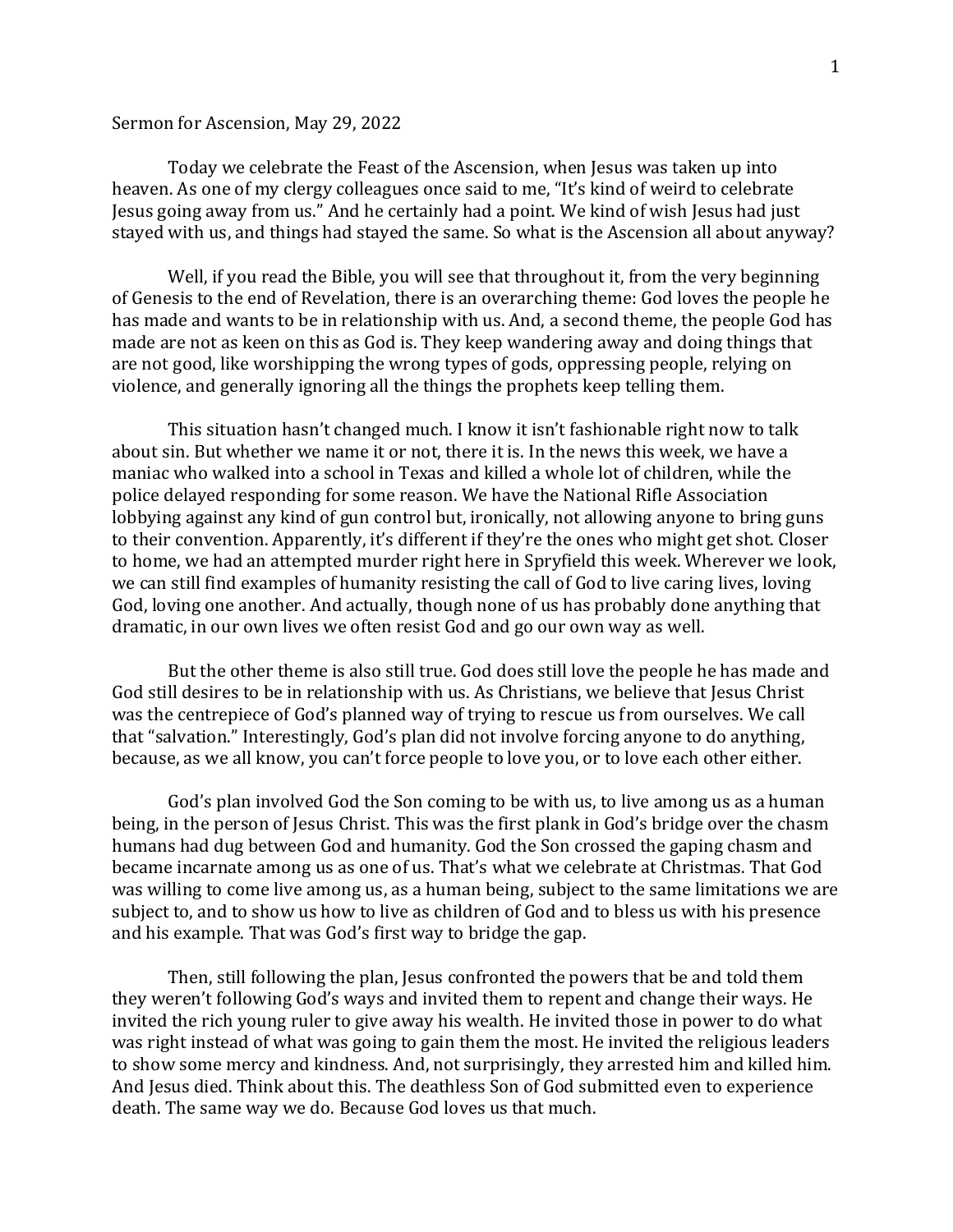## Sermon for Ascension, May 29, 2022

Today we celebrate the Feast of the Ascension, when Jesus was taken up into heaven. As one of my clergy colleagues once said to me, "It's kind of weird to celebrate Jesus going away from us." And he certainly had a point. We kind of wish Jesus had just stayed with us, and things had stayed the same. So what is the Ascension all about anyway?

Well, if you read the Bible, you will see that throughout it, from the very beginning of Genesis to the end of Revelation, there is an overarching theme: God loves the people he has made and wants to be in relationship with us. And, a second theme, the people God has made are not as keen on this as God is. They keep wandering away and doing things that are not good, like worshipping the wrong types of gods, oppressing people, relying on violence, and generally ignoring all the things the prophets keep telling them.

This situation hasn't changed much. I know it isn't fashionable right now to talk about sin. But whether we name it or not, there it is. In the news this week, we have a maniac who walked into a school in Texas and killed a whole lot of children, while the police delayed responding for some reason. We have the National Rifle Association lobbying against any kind of gun control but, ironically, not allowing anyone to bring guns to their convention. Apparently, it's different if they're the ones who might get shot. Closer to home, we had an attempted murder right here in Spryfield this week. Wherever we look, we can still find examples of humanity resisting the call of God to live caring lives, loving God, loving one another. And actually, though none of us has probably done anything that dramatic, in our own lives we often resist God and go our own way as well.

But the other theme is also still true. God does still love the people he has made and God still desires to be in relationship with us. As Christians, we believe that Jesus Christ was the centrepiece of God's planned way of trying to rescue us from ourselves. We call that "salvation." Interestingly, God's plan did not involve forcing anyone to do anything, because, as we all know, you can't force people to love you, or to love each other either.

God's plan involved God the Son coming to be with us, to live among us as a human being, in the person of Jesus Christ. This was the first plank in God's bridge over the chasm humans had dug between God and humanity. God the Son crossed the gaping chasm and became incarnate among us as one of us. That's what we celebrate at Christmas. That God was willing to come live among us, as a human being, subject to the same limitations we are subject to, and to show us how to live as children of God and to bless us with his presence and his example. That was God's first way to bridge the gap.

Then, still following the plan, Jesus confronted the powers that be and told them they weren't following God's ways and invited them to repent and change their ways. He invited the rich young ruler to give away his wealth. He invited those in power to do what was right instead of what was going to gain them the most. He invited the religious leaders to show some mercy and kindness. And, not surprisingly, they arrested him and killed him. And Jesus died. Think about this. The deathless Son of God submitted even to experience death. The same way we do. Because God loves us that much.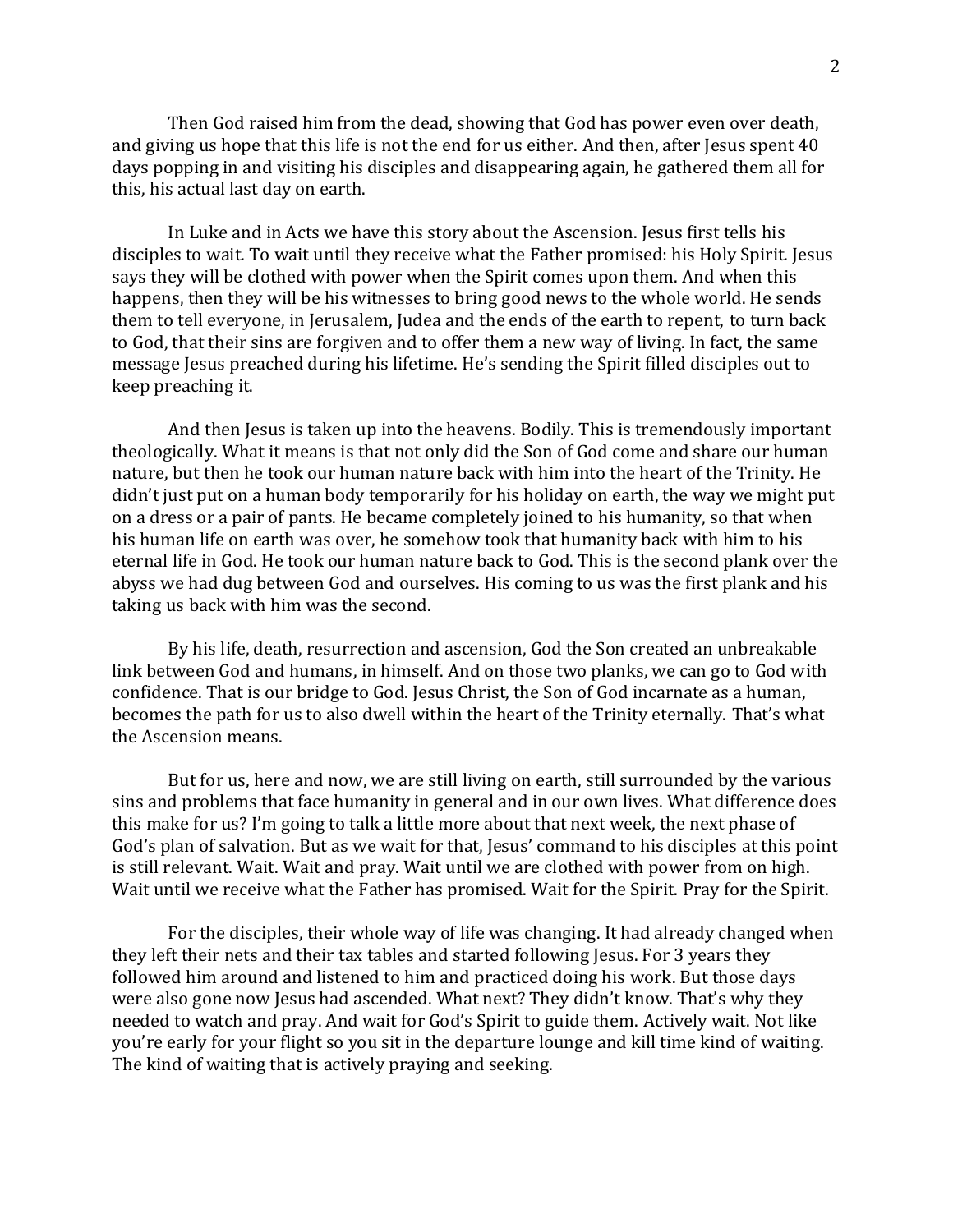Then God raised him from the dead, showing that God has power even over death, and giving us hope that this life is not the end for us either. And then, after Jesus spent 40 days popping in and visiting his disciples and disappearing again, he gathered them all for this, his actual last day on earth.

In Luke and in Acts we have this story about the Ascension. Jesus first tells his disciples to wait. To wait until they receive what the Father promised: his Holy Spirit. Jesus says they will be clothed with power when the Spirit comes upon them. And when this happens, then they will be his witnesses to bring good news to the whole world. He sends them to tell everyone, in Jerusalem, Judea and the ends of the earth to repent, to turn back to God, that their sins are forgiven and to offer them a new way of living. In fact, the same message Jesus preached during his lifetime. He's sending the Spirit filled disciples out to keep preaching it.

And then Jesus is taken up into the heavens. Bodily. This is tremendously important theologically. What it means is that not only did the Son of God come and share our human nature, but then he took our human nature back with him into the heart of the Trinity. He didn't just put on a human body temporarily for his holiday on earth, the way we might put on a dress or a pair of pants. He became completely joined to his humanity, so that when his human life on earth was over, he somehow took that humanity back with him to his eternal life in God. He took our human nature back to God. This is the second plank over the abyss we had dug between God and ourselves. His coming to us was the first plank and his taking us back with him was the second.

By his life, death, resurrection and ascension, God the Son created an unbreakable link between God and humans, in himself. And on those two planks, we can go to God with confidence. That is our bridge to God. Jesus Christ, the Son of God incarnate as a human, becomes the path for us to also dwell within the heart of the Trinity eternally. That's what the Ascension means.

But for us, here and now, we are still living on earth, still surrounded by the various sins and problems that face humanity in general and in our own lives. What difference does this make for us? I'm going to talk a little more about that next week, the next phase of God's plan of salvation. But as we wait for that, Jesus' command to his disciples at this point is still relevant. Wait. Wait and pray. Wait until we are clothed with power from on high. Wait until we receive what the Father has promised. Wait for the Spirit. Pray for the Spirit.

For the disciples, their whole way of life was changing. It had already changed when they left their nets and their tax tables and started following Jesus. For 3 years they followed him around and listened to him and practiced doing his work. But those days were also gone now Jesus had ascended. What next? They didn't know. That's why they needed to watch and pray. And wait for God's Spirit to guide them. Actively wait. Not like you're early for your flight so you sit in the departure lounge and kill time kind of waiting. The kind of waiting that is actively praying and seeking.